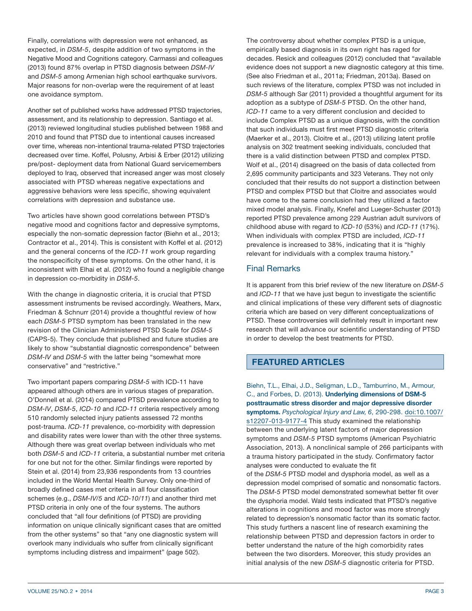Finally, correlations with depression were not enhanced, as expected, in *DSM-5*, despite addition of two symptoms in the Negative Mood and Cognitions category. Carmassi and colleagues (2013) found 87% overlap in PTSD diagnosis between *DSM-IV* and *DSM-5* among Armenian high school earthquake survivors. Major reasons for non-overlap were the requirement of at least one avoidance symptom.

Another set of published works have addressed PTSD trajectories, assessment, and its relationship to depression. Santiago et al. (2013) reviewed longitudinal studies published between 1988 and 2010 and found that PTSD due to intentional causes increased over time, whereas non-intentional trauma-related PTSD trajectories decreased over time. Koffel, Polusny, Arbisi & Erber (2012) utilizing pre/post- deployment data from National Guard servicemembers deployed to Iraq, observed that increased anger was most closely associated with PTSD whereas negative expectations and aggressive behaviors were less specific, showing equivalent correlations with depression and substance use.

Two articles have shown good correlations between PTSD's negative mood and cognitions factor and depressive symptoms, especially the non-somatic depression factor (Biehn et al., 2013; Contractor et al., 2014). This is consistent with Koffel et al. (2012) and the general concerns of the *ICD-11* work group regarding the nonspecificity of these symptoms. On the other hand, it is inconsistent with Elhai et al. (2012) who found a negligible change in depression co-morbidity in *DSM-5*.

With the change in diagnostic criteria, it is crucial that PTSD assessment instruments be revised accordingly. Weathers, Marx, Friedman & Schnurr (2014) provide a thoughtful review of how each *DSM-5* PTSD symptom has been translated in the new revision of the Clinician Administered PTSD Scale for *DSM-5* (CAPS-5). They conclude that published and future studies are likely to show "substantial diagnostic correspondence" between *DSM-IV* and *DSM-5* with the latter being "somewhat more conservative" and "restrictive."

Two important papers comparing *DSM-5* with ICD-11 have appeared although others are in various stages of preparation. O'Donnell et al. (2014) compared PTSD prevalence according to *DSM-IV*, *DSM-5*, *ICD-10* and *ICD-11* criteria respectively among 510 randomly selected injury patients assessed 72 months post-trauma. *ICD-11* prevalence, co-morbidity with depression and disability rates were lower than with the other three systems. Although there was great overlap between individuals who met both *DSM-5* and *ICD-11* criteria, a substantial number met criteria for one but not for the other. Similar findings were reported by Stein et al. (2014) from 23,936 respondents from 13 countries included in the World Mental Health Survey. Only one-third of broadly defined cases met criteria in all four classification schemes (e.g., *DSM-IV/5* and *ICD-10/11*) and another third met PTSD criteria in only one of the four systems. The authors concluded that "all four definitions (of PTSD) are providing information on unique clinically significant cases that are omitted from the other systems" so that "any one diagnostic system will overlook many individuals who suffer from clinically significant symptoms including distress and impairment" (page 502).

The controversy about whether complex PTSD is a unique, empirically based diagnosis in its own right has raged for decades. Resick and colleagues (2012) concluded that "available evidence does not support a new diagnostic category at this time. (See also Friedman et al., 2011a; Friedman, 2013a). Based on such reviews of the literature, complex PTSD was not included in *DSM-5* although Sar (2011) provided a thoughtful argument for its adoption as a subtype of *DSM-5* PTSD. On the other hand, *ICD-11* came to a very different conclusion and decided to include Complex PTSD as a unique diagnosis, with the condition that such individuals must first meet PTSD diagnostic criteria (Maerker et al., 2013). Cloitre et al., (2013) utilizing latent profile analysis on 302 treatment seeking individuals, concluded that there is a valid distinction between PTSD and complex PTSD. Wolf et al., (2014) disagreed on the basis of data collected from 2,695 community participants and 323 Veterans. They not only concluded that their results do not support a distinction between PTSD and complex PTSD but that Cloitre and associates would have come to the same conclusion had they utilized a factor mixed model analysis. Finally, Knefel and Lueger-Schuster (2013) reported PTSD prevalence among 229 Austrian adult survivors of childhood abuse with regard to *ICD-10* (53%) and *ICD-11* (17%). When individuals with complex PTSD are included, *ICD-11* prevalence is increased to 38%, indicating that it is "highly relevant for individuals with a complex trauma history."

# Final Remarks

It is apparent from this brief review of the new literature on *DSM-5* and *ICD-11* that we have just begun to investigate the scientific and clinical implications of these very different sets of diagnostic criteria which are based on very different conceptualizations of PTSD. These controversies will definitely result in important new research that will advance our scientific understanding of PTSD in order to develop the best treatments for PTSD.

# **FEATURED ARTICLES**

Biehn, T.L., Elhai, J.D., Seligman, L.D., Tamburrino, M., Armour, C., and Forbes, D. (2013). **Underlying dimensions of DSM-5 posttraumatic stress disorder and major depressive disorder symptoms.** *Psychological Injury and Law, 6*, 290-298. [doi:10.1007/](http://link.springer.com/article/10.1007%2Fs12207-013-9177-4) [s12207-013-9177-4](http://link.springer.com/article/10.1007%2Fs12207-013-9177-4) This study examined the relationship between the underlying latent factors of major depression symptoms and *DSM-5* PTSD symptoms (American Psychiatric Association, 2013). A nonclinical sample of 266 participants with a trauma history participated in the study. Confirmatory factor analyses were conducted to evaluate the fit of the *DSM-5* PTSD model and dysphoria model, as well as a depression model comprised of somatic and nonsomatic factors. The *DSM-5* PTSD model demonstrated somewhat better fit over the dysphoria model. Wald tests indicated that PTSD's negative alterations in cognitions and mood factor was more strongly related to depression's nonsomatic factor than its somatic factor. This study furthers a nascent line of research examining the relationship between PTSD and depression factors in order to better understand the nature of the high comorbidity rates between the two disorders. Moreover, this study provides an initial analysis of the new *DSM-5* diagnostic criteria for PTSD.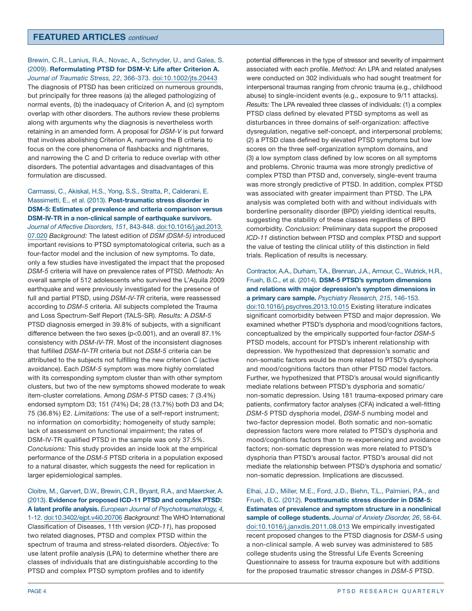Brewin, C.R., Lanius, R.A., Novac, A., Schnyder, U., and Galea, S. (2009). **Reformulating PTSD for DSM-V: Life after Criterion A.** *Journal of Traumatic Stress, 22*, 366-373. [doi:10.1002/jts.20443](http://onlinelibrary.wiley.com/doi/10.1002/jts.20443/abstract;jsessionid=2984B1052D27F05B61406319C9F31CE0.f01t04) The diagnosis of PTSD has been criticized on numerous grounds, but principally for three reasons (a) the alleged pathologizing of normal events, (b) the inadequacy of Criterion A, and (c) symptom overlap with other disorders. The authors review these problems along with arguments why the diagnosis is nevertheless worth retaining in an amended form. A proposal for *DSM-V* is put forward that involves abolishing Criterion A, narrowing the B criteria to focus on the core phenomena of flashbacks and nightmares, and narrowing the C and D criteria to reduce overlap with other disorders. The potential advantages and disadvantages of this formulation are discussed.

## Carmassi, C., Akiskal, H.S., Yong, S.S., Stratta, P., Calderani, E. Massimetti, E., et al. (2013). **Post-traumatic stress disorder in DSM-5: Estimates of prevalence and criteria comparison versus DSM-IV-TR in a non-clinical sample of earthquake survivors.**

*Journal of Affective Disorders, 151*, 843-848. [doi:10.1016/j.jad.2013.](http://www.sciencedirect.com/science/article/pii/S0165032713005855) [07.020](http://www.sciencedirect.com/science/article/pii/S0165032713005855) *Background:* The latest edition of *DSM (DSM-5)* introduced important revisions to PTSD symptomatological criteria, such as a four-factor model and the inclusion of new symptoms. To date, only a few studies have investigated the impact that the proposed *DSM-5* criteria will have on prevalence rates of PTSD. *Methods:* An overall sample of 512 adolescents who survived the L'Aquila 2009 earthquake and were previously investigated for the presence of full and partial PTSD, using *DSM-IV-TR* criteria, were reassessed according to *DSM-5* criteria. All subjects completed the Trauma and Loss Spectrum-Self Report (TALS-SR). *Results:* A *DSM-5* PTSD diagnosis emerged in 39.8% of subjects, with a significant difference between the two sexes (p<0.001), and an overall 87.1% consistency with *DSM-IV-TR*. Most of the inconsistent diagnoses that fulfilled *DSM-IV-TR* criteria but not *DSM-5* criteria can be attributed to the subjects not fulfilling the new criterion C (active avoidance). Each *DSM-5* symptom was more highly correlated with its corresponding symptom cluster than with other symptom clusters, but two of the new symptoms showed moderate to weak item-cluster correlations. Among *DSM-5* PTSD cases: 7 (3.4%) endorsed symptom D3; 151 (74%) D4; 28 (13.7%) both D3 and D4; 75 (36.8%) E2. *Limitations:* The use of a self-report instrument; no information on comorbidity; homogeneity of study sample; lack of assessment on functional impairment; the rates of DSM-IV-TR qualified PTSD in the sample was only 37.5%. *Conclusions:* This study provides an inside look at the empirical performance of the *DSM-5* PTSD criteria in a population exposed to a natural disaster, which suggests the need for replication in larger epidemiological samples.

Cloitre, M., Garvert, D.W., Brewin, C.R., Bryant, R.A., and Maercker, A. (2013). **Evidence for proposed ICD-11 PTSD and complex PTSD: A latent profile analysis.** *European Journal of Psychotraumatology, 4,* 1-12. [doi:10.3402/ejpt.v4i0.20706](http://www.ejpt.net/index.php/ejpt/article/view/20706) *Background:* The WHO International Classification of Diseases, 11th version (*ICD-11*), has proposed two related diagnoses, PTSD and complex PTSD within the spectrum of trauma and stress-related disorders. *Objective:* To use latent profile analysis (LPA) to determine whether there are classes of individuals that are distinguishable according to the PTSD and complex PTSD symptom profiles and to identify

potential differences in the type of stressor and severity of impairment associated with each profile. *Method:* An LPA and related analyses were conducted on 302 individuals who had sought treatment for interpersonal traumas ranging from chronic trauma (e.g., childhood abuse) to single-incident events (e.g., exposure to 9/11 attacks). *Results:* The LPA revealed three classes of individuals: (1) a complex PTSD class defined by elevated PTSD symptoms as well as disturbances in three domains of self-organization: affective dysregulation, negative self-concept, and interpersonal problems; (2) a PTSD class defined by elevated PTSD symptoms but low scores on the three self-organization symptom domains, and (3) a low symptom class defined by low scores on all symptoms and problems. Chronic trauma was more strongly predictive of complex PTSD than PTSD and, conversely, single-event trauma was more strongly predictive of PTSD. In addition, complex PTSD was associated with greater impairment than PTSD. The LPA analysis was completed both with and without individuals with borderline personality disorder (BPD) yielding identical results, suggesting the stability of these classes regardless of BPD comorbidity. *Conclusion:* Preliminary data support the proposed *ICD-11* distinction between PTSD and complex PTSD and support the value of testing the clinical utility of this distinction in field trials. Replication of results is necessary.

#### Contractor, A.A., Durham, T.A., Brennan, J.A., Armour, C., Wutrick, H.R., Frueh, B.C., et al. (2014). **DSM-5 PTSD's symptom dimensions and relations with major depression's symptom dimensions in a primary care sample.** *Psychiatry Research, 215*, 146-153. [doi:10.1016/j.psychres.2013.10.015](http://www.sciencedirect.com/science/article/pii/S016517811300663X) Existing literature indicates significant comorbidity between PTSD and major depression. We examined whether PTSD's dysphoria and mood/cognitions factors, conceptualized by the empirically supported four-factor *DSM-5* PTSD models, account for PTSD's inherent relationship with depression. We hypothesized that depression's somatic and non-somatic factors would be more related to PTSD's dysphoria and mood/cognitions factors than other PTSD model factors. Further, we hypothesized that PTSD's arousal would significantly mediate relations between PTSD's dysphoria and somatic/ non-somatic depression. Using 181 trauma-exposed primary care patients, confirmatory factor analyses (CFA) indicated a well-fitting *DSM-5* PTSD dysphoria model, *DSM-5* numbing model and two-factor depression model. Both somatic and non-somatic depression factors were more related to PTSD's dysphoria and mood/cognitions factors than to re-experiencing and avoidance factors; non-somatic depression was more related to PTSD's dysphoria than PTSD's arousal factor. PTSD's arousal did not mediate the relationship between PTSD's dysphoria and somatic/ non-somatic depression. Implications are discussed.

Elhai, J.D., Miller, M.E., Ford, J.D., Biehn, T.L., Palmieri, P.A., and Frueh, B.C. (2012). **Posttraumatic stress disorder in DSM-5: Estimates of prevalence and symptom structure in a nonclinical sample of college students.** *Journal of Anxiety Disorder, 26*, 58-64. [doi:10.1016/j.janxdis.2011.08.013](http://www.sciencedirect.com/science/article/pii/S0887618511001484) We empirically investigated recent proposed changes to the PTSD diagnosis for *DSM-5* using a non-clinical sample. A web survey was administered to 585 college students using the Stressful Life Events Screening Questionnaire to assess for trauma exposure but with additions for the proposed traumatic stressor changes in *DSM-5* PTSD.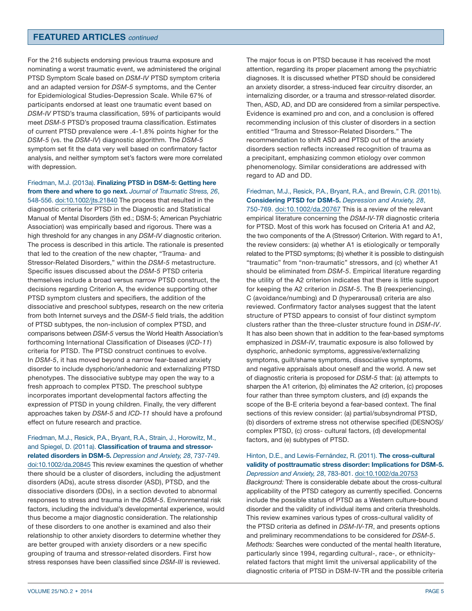For the 216 subjects endorsing previous trauma exposure and nominating a worst traumatic event, we administered the original PTSD Symptom Scale based on *DSM-IV* PTSD symptom criteria and an adapted version for *DSM-5* symptoms, and the Center for Epidemiological Studies-Depression Scale. While 67% of participants endorsed at least one traumatic event based on *DSM-IV* PTSD's trauma classification, 59% of participants would meet *DSM-5* PTSD's proposed trauma classification. Estimates of current PTSD prevalence were .4-1.8% points higher for the *DSM-5* (vs. the *DSM-IV*) diagnostic algorithm. The *DSM-5* symptom set fit the data very well based on confirmatory factor analysis, and neither symptom set's factors were more correlated with depression.

Friedman, M.J. (2013a). **Finalizing PTSD in DSM-5: Getting here from there and where to go next.** *Journal of Traumatic Stress, 26*,

548-556. [doi:10.1002/jts.21840](http://onlinelibrary.wiley.com/doi/10.1002/jts.21840/abstract) The process that resulted in the diagnostic criteria for PTSD in the Diagnostic and Statistical Manual of Mental Disorders (5th ed.; DSM-5; American Psychiatric Association) was empirically based and rigorous. There was a high threshold for any changes in any *DSM-IV* diagnostic criterion. The process is described in this article. The rationale is presented that led to the creation of the new chapter, "Trauma- and Stressor-Related Disorders," within the *DSM-5* metastructure. Specific issues discussed about the *DSM-5* PTSD criteria themselves include a broad versus narrow PTSD construct, the decisions regarding Criterion A, the evidence supporting other PTSD symptom clusters and specifiers, the addition of the dissociative and preschool subtypes, research on the new criteria from both Internet surveys and the *DSM-5* field trials, the addition of PTSD subtypes, the non-inclusion of complex PTSD, and comparisons between *DSM-5* versus the World Health Association's forthcoming International Classification of Diseases (*ICD-11*) criteria for PTSD. The PTSD construct continues to evolve. In *DSM-5*, it has moved beyond a narrow fear-based anxiety disorder to include dysphoric/anhedonic and externalizing PTSD phenotypes. The dissociative subtype may open the way to a fresh approach to complex PTSD. The preschool subtype incorporates important developmental factors affecting the expression of PTSD in young children. Finally, the very different approaches taken by *DSM-5* and *ICD-11* should have a profound effect on future research and practice.

Friedman, M.J., Resick, P.A., Bryant, R.A., Strain, J., Horowitz, M., and Spiegel, D. (2011a). **Classification of trauma and stressorrelated disorders in DSM-5.** *Depression and Anxiety, 28*, 737-749. [doi:10.1002/da.20845](http://onlinelibrary.wiley.com/doi/10.1002/da.20845/abstract) This review examines the question of whether there should be a cluster of disorders, including the adjustment disorders (ADs), acute stress disorder (ASD), PTSD, and the dissociative disorders (DDs), in a section devoted to abnormal responses to stress and trauma in the *DSM-5*. Environmental risk factors, including the individual's developmental experience, would thus become a major diagnostic consideration. The relationship of these disorders to one another is examined and also their relationship to other anxiety disorders to determine whether they are better grouped with anxiety disorders or a new specific grouping of trauma and stressor-related disorders. First how stress responses have been classified since *DSM-III* is reviewed.

The major focus is on PTSD because it has received the most attention, regarding its proper placement among the psychiatric diagnoses. It is discussed whether PTSD should be considered an anxiety disorder, a stress-induced fear circuitry disorder, an internalizing disorder, or a trauma and stressor-related disorder. Then, ASD, AD, and DD are considered from a similar perspective. Evidence is examined pro and con, and a conclusion is offered recommending inclusion of this cluster of disorders in a section entitled "Trauma and Stressor-Related Disorders." The recommendation to shift ASD and PTSD out of the anxiety disorders section reflects increased recognition of trauma as a precipitant, emphasizing common etiology over common phenomenology. Similar considerations are addressed with regard to AD and DD.

Friedman, M.J., Resick, P.A., Bryant, R.A., and Brewin, C.R. (2011b). **Considering PTSD for DSM-5.** *Depression and Anxiety, 28*, 750-769. [doi:10.1002/da.20767](http://onlinelibrary.wiley.com/doi/10.1002/da.20767/abstract) This is a review of the relevant empirical literature concerning the *DSM-IV-TR* diagnostic criteria for PTSD. Most of this work has focused on Criteria A1 and A2, the two components of the A (Stressor) Criterion. With regard to A1, the review considers: (a) whether A1 is etiologically or temporally related to the PTSD symptoms; (b) whether it is possible to distinguish "traumatic" from "non-traumatic" stressors, and (c) whether A1 should be eliminated from *DSM-5*. Empirical literature regarding the utility of the A2 criterion indicates that there is little support for keeping the A2 criterion in *DSM-5*. The B (reexperiencing), C (avoidance/numbing) and D (hyperarousal) criteria are also reviewed. Confirmatory factor analyses suggest that the latent structure of PTSD appears to consist of four distinct symptom clusters rather than the three-cluster structure found in *DSM-IV*. It has also been shown that in addition to the fear-based symptoms emphasized in *DSM-IV*, traumatic exposure is also followed by dysphoric, anhedonic symptoms, aggressive/externalizing symptoms, guilt/shame symptoms, dissociative symptoms, and negative appraisals about oneself and the world. A new set of diagnostic criteria is proposed for *DSM-5* that: (a) attempts to sharpen the A1 criterion, (b) eliminates the A2 criterion, (c) proposes four rather than three symptom clusters, and (d) expands the scope of the B-E criteria beyond a fear-based context. The final sections of this review consider: (a) partial/subsyndromal PTSD, (b) disorders of extreme stress not otherwise specified (DESNOS)/ complex PTSD, (c) cross- cultural factors, (d) developmental factors, and (e) subtypes of PTSD.

#### Hinton, D.E., and Lewis-Fernández, R. (2011). **The cross-cultural validity of posttraumatic stress disorder: Implications for DSM-5.** *Depression and Anxiety, 28*, 783-801. [doi:10.1002/da.20753](http://onlinelibrary.wiley.com/doi/10.1002/da.20753/abstract)

*Background:* There is considerable debate about the cross-cultural applicability of the PTSD category as currently specified. Concerns include the possible status of PTSD as a Western culture-bound disorder and the validity of individual items and criteria thresholds. This review examines various types of cross-cultural validity of the PTSD criteria as defined in *DSM-IV-TR*, and presents options and preliminary recommendations to be considered for *DSM-5*. *Methods:* Searches were conducted of the mental health literature, particularly since 1994, regarding cultural-, race-, or ethnicityrelated factors that might limit the universal applicability of the diagnostic criteria of PTSD in DSM-IV-TR and the possible criteria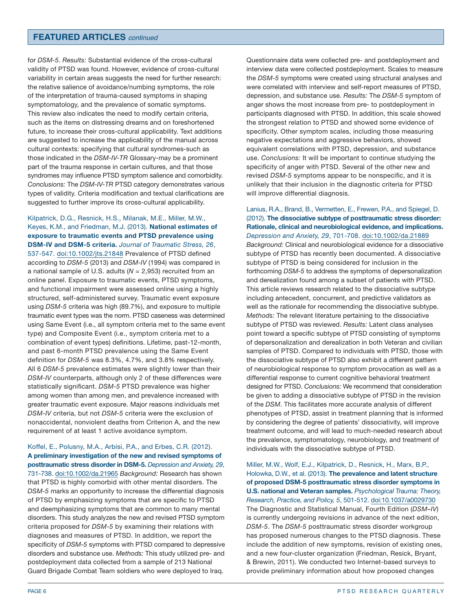for *DSM-5*. *Results:* Substantial evidence of the cross-cultural validity of PTSD was found. However, evidence of cross-cultural variability in certain areas suggests the need for further research: the relative salience of avoidance/numbing symptoms, the role of the interpretation of trauma-caused symptoms in shaping symptomatology, and the prevalence of somatic symptoms. This review also indicates the need to modify certain criteria, such as the items on distressing dreams and on foreshortened future, to increase their cross-cultural applicability. Text additions are suggested to increase the applicability of the manual across cultural contexts: specifying that cultural syndromes-such as those indicated in the *DSM-IV-TR* Glossary-may be a prominent part of the trauma response in certain cultures, and that those syndromes may influence PTSD symptom salience and comorbidity. *Conclusions:* The *DSM-IV-TR* PTSD category demonstrates various types of validity. Criteria modification and textual clarifications are suggested to further improve its cross-cultural applicability.

## Kilpatrick, D.G., Resnick, H.S., Milanak, M.E., Miller, M.W., Keyes, K.M., and Friedman, M.J. (2013). **National estimates of exposure to traumatic events and PTSD prevalence using DSM-IV and DSM-5 criteria.** *Journal of Traumatic Stress, 26*,

537-547. [doi:10.1002/jts.21848](http://onlinelibrary.wiley.com/doi/10.1002/jts.21848/abstract) Prevalence of PTSD defined according to *DSM-5* (2013) and *DSM-IV* (1994) was compared in a national sample of U.S. adults (*N* = 2,953) recruited from an online panel. Exposure to traumatic events, PTSD symptoms, and functional impairment were assessed online using a highly structured, self-administered survey. Traumatic event exposure using *DSM-5* criteria was high (89.7%), and exposure to multiple traumatic event types was the norm. PTSD caseness was determined using Same Event (i.e., all symptom criteria met to the same event type) and Composite Event (i.e., symptom criteria met to a combination of event types) definitions. Lifetime, past-12-month, and past 6-month PTSD prevalence using the Same Event definition for *DSM-5* was 8.3%, 4.7%, and 3.8% respectively. All 6 *DSM-5* prevalence estimates were slightly lower than their *DSM-IV* counterparts, although only 2 of these differences were statistically significant. *DSM-5* PTSD prevalence was higher among women than among men, and prevalence increased with greater traumatic event exposure. Major reasons individuals met *DSM-IV* criteria, but not *DSM-5* criteria were the exclusion of nonaccidental, nonviolent deaths from Criterion A, and the new requirement of at least 1 active avoidance symptom.

Koffel, E., Polusny, M.A., Arbisi, P.A., and Erbes, C.R. (2012). **A preliminary investigation of the new and revised symptoms of posttraumatic stress disorder in DSM-5.** *Depression and Anxiety, 29*, 731-738. [doi:10.1002/da.21965](http://onlinelibrary.wiley.com/doi/10.1002/da.21965/abstract) *Background:* Research has shown that PTSD is highly comorbid with other mental disorders. The *DSM-5* marks an opportunity to increase the differential diagnosis of PTSD by emphasizing symptoms that are specific to PTSD and deemphasizing symptoms that are common to many mental disorders. This study analyzes the new and revised PTSD symptom criteria proposed for *DSM-5* by examining their relations with diagnoses and measures of PTSD. In addition, we report the specificity of *DSM-5* symptoms with PTSD compared to depressive disorders and substance use. *Methods:* This study utilized pre- and postdeployment data collected from a sample of 213 National Guard Brigade Combat Team soldiers who were deployed to Iraq.

Questionnaire data were collected pre- and postdeployment and interview data were collected postdeployment. Scales to measure the *DSM-5* symptoms were created using structural analyses and were correlated with interview and self-report measures of PTSD, depression, and substance use. *Results:* The *DSM-5* symptom of anger shows the most increase from pre- to postdeployment in participants diagnosed with PTSD. In addition, this scale showed the strongest relation to PTSD and showed some evidence of specificity. Other symptom scales, including those measuring negative expectations and aggressive behaviors, showed equivalent correlations with PTSD, depression, and substance use. *Conclusions:* It will be important to continue studying the specificity of anger with PTSD. Several of the other new and revised *DSM-5* symptoms appear to be nonspecific, and it is unlikely that their inclusion in the diagnostic criteria for PTSD will improve differential diagnosis.

Lanius, R.A., Brand, B., Vermetten, E., Frewen, P.A., and Spiegel, D. (2012). **The dissociative subtype of posttraumatic stress disorder: Rationale, clinical and neurobiological evidence, and implications.** *Depression and Anxiety, 29*, 701-708. [doi:10.1002/da.21889](http://onlinelibrary.wiley.com/doi/10.1002/da.21889/abstract) *Background:* Clinical and neurobiological evidence for a dissociative subtype of PTSD has recently been documented. A dissociative subtype of PTSD is being considered for inclusion in the forthcoming *DSM-5* to address the symptoms of depersonalization and derealization found among a subset of patients with PTSD. This article reviews research related to the dissociative subtype including antecedent, concurrent, and predictive validators as well as the rationale for recommending the dissociative subtype. *Methods:* The relevant literature pertaining to the dissociative subtype of PTSD was reviewed. *Results:* Latent class analyses point toward a specific subtype of PTSD consisting of symptoms of depersonalization and derealization in both Veteran and civilian samples of PTSD. Compared to individuals with PTSD, those with the dissociative subtype of PTSD also exhibit a different pattern of neurobiological response to symptom provocation as well as a differential response to current cognitive behavioral treatment designed for PTSD. *Conclusions:* We recommend that consideration be given to adding a dissociative subtype of PTSD in the revision of the *DSM*. This facilitates more accurate analysis of different phenotypes of PTSD, assist in treatment planning that is informed by considering the degree of patients' dissociativity, will improve treatment outcome, and will lead to much-needed research about the prevalence, symptomatology, neurobiology, and treatment of individuals with the dissociative subtype of PTSD.

Miller, M.W., Wolf, E.J., Kilpatrick, D., Resnick, H., Marx, B.P., Holowka, D.W., et al. (2013). **The prevalence and latent structure of proposed DSM-5 posttraumatic stress disorder symptoms in U.S. national and Veteran samples.** *Psychological Trauma: Theory, Research, Practice, and Policy, 5*, 501-512. [doi:10.1037/a0029730](http://psycnet.apa.org/index.cfm?fa=search.displayrecord&uid=2012-23869-001) The Diagnostic and Statistical Manual, Fourth Edition (*DSM–IV*) is currently undergoing revisions in advance of the next edition, *DSM-5*. The *DSM-5* posttraumatic stress disorder workgroup has proposed numerous changes to the PTSD diagnosis. These include the addition of new symptoms, revision of existing ones, and a new four-cluster organization (Friedman, Resick, Bryant, & Brewin, 2011). We conducted two Internet-based surveys to provide preliminary information about how proposed changes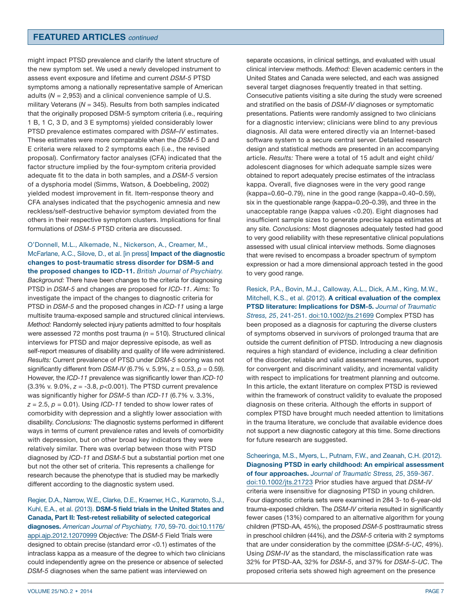might impact PTSD prevalence and clarify the latent structure of the new symptom set. We used a newly developed instrument to assess event exposure and lifetime and current *DSM-5* PTSD symptoms among a nationally representative sample of American adults (*N* = 2,953) and a clinical convenience sample of U.S. military Veterans (N = 345). Results from both samples indicated that the originally proposed DSM-5 symptom criteria (i.e., requiring 1 B, 1 C, 3 D, and 3 E symptoms) yielded considerably lower PTSD prevalence estimates compared with *DSM–IV* estimates. These estimates were more comparable when the *DSM-5* D and E criteria were relaxed to 2 symptoms each (i.e., the revised proposal). Confirmatory factor analyses (CFA) indicated that the factor structure implied by the four-symptom criteria provided adequate fit to the data in both samples, and a *DSM-5* version of a dysphoria model (Simms, Watson, & Doebbeling, 2002) yielded modest improvement in fit. Item-response theory and CFA analyses indicated that the psychogenic amnesia and new reckless/self-destructive behavior symptom deviated from the others in their respective symptom clusters. Implications for final formulations of *DSM-5* PTSD criteria are discussed.

#### O'Donnell, M.L., Alkemade, N., Nickerson, A., Creamer, M., McFarlane, A.C., Silove, D., et al. [in press] **Impact of the diagnostic changes to post-traumatic stress disorder for DSM-5 and the proposed changes to ICD-11.** *British Journal of Psychiatry.*

*Background:* There have been changes to the criteria for diagnosing PTSD in *DSM-5* and changes are proposed for *ICD-11*. *Aims:* To investigate the impact of the changes to diagnostic criteria for PTSD in *DSM-5* and the proposed changes in *ICD-11* using a large multisite trauma-exposed sample and structured clinical interviews. *Method:* Randomly selected injury patients admitted to four hospitals were assessed 72 months post trauma (*n* = 510). Structured clinical interviews for PTSD and major depressive episode, as well as self-report measures of disability and quality of life were administered. *Results:* Current prevalence of PTSD under *DSM-5* scoring was not significantly different from *DSM-IV* (6.7% v. 5.9%, z = 0.53, *p* = 0.59). However, the *ICD-11* prevalence was significantly lower than *ICD-10* (3.3% v. 9.0%, *z* = -3.8, *p*<0.001). The PTSD current prevalence was significantly higher for *DSM-5* than *ICD-11* (6.7% v. 3.3%,  $z = 2.5$ ,  $p = 0.01$ ). Using *ICD-11* tended to show lower rates of comorbidity with depression and a slightly lower association with disability. *Conclusions:* The diagnostic systems performed in different ways in terms of current prevalence rates and levels of comorbidity with depression, but on other broad key indicators they were relatively similar. There was overlap between those with PTSD diagnosed by *ICD-11* and *DSM-5* but a substantial portion met one but not the other set of criteria. This represents a challenge for research because the phenotype that is studied may be markedly different according to the diagnostic system used.

Regier, D.A., Narrow, W.E., Clarke, D.E., Kraemer, H.C., Kuramoto, S.J., Kuhl, E.A., et al. (2013). **DSM-5 field trials in the United States and Canada, Part II: Test-retest reliability of selected categorical diagnoses.** *American Journal of Psychiatry, 170*, 59-70. [doi:10.1176/](http://ajp.psychiatryonline.org/article.aspx?articleID=1387906) [appi.ajp.2012.12070999](http://ajp.psychiatryonline.org/article.aspx?articleID=1387906) *Objective:* The *DSM-5* Field Trials were designed to obtain precise (standard error <0.1) estimates of the intraclass kappa as a measure of the degree to which two clinicians could independently agree on the presence or absence of selected *DSM-5* diagnoses when the same patient was interviewed on

separate occasions, in clinical settings, and evaluated with usual clinical interview methods. *Method:* Eleven academic centers in the United States and Canada were selected, and each was assigned several target diagnoses frequently treated in that setting. Consecutive patients visiting a site during the study were screened and stratified on the basis of *DSM-IV* diagnoses or symptomatic presentations. Patients were randomly assigned to two clinicians for a diagnostic interview; clinicians were blind to any previous diagnosis. All data were entered directly via an Internet-based software system to a secure central server. Detailed research design and statistical methods are presented in an accompanying article. *Results:* There were a total of 15 adult and eight child/ adolescent diagnoses for which adequate sample sizes were obtained to report adequately precise estimates of the intraclass kappa. Overall, five diagnoses were in the very good range (kappa=0.60–0.79), nine in the good range (kappa=0.40–0.59), six in the questionable range (kappa=0.20–0.39), and three in the unacceptable range (kappa values <0.20). Eight diagnoses had insufficient sample sizes to generate precise kappa estimates at any site. *Conclusions:* Most diagnoses adequately tested had good to very good reliability with these representative clinical populations assessed with usual clinical interview methods. Some diagnoses that were revised to encompass a broader spectrum of symptom expression or had a more dimensional approach tested in the good to very good range.

Resick, P.A., Bovin, M.J., Calloway, A.L., Dick, A.M., King, M.W., Mitchell, K.S., et al. (2012). **A critical evaluation of the complex PTSD literature: Implications for DSM-5.** *Journal of Traumatic Stress, 25*, 241-251. [doi:10.1002/jts.21699](http://onlinelibrary.wiley.com/doi/10.1002/jts.21699/abstract) Complex PTSD has been proposed as a diagnosis for capturing the diverse clusters of symptoms observed in survivors of prolonged trauma that are outside the current definition of PTSD. Introducing a new diagnosis requires a high standard of evidence, including a clear definition of the disorder, reliable and valid assessment measures, support for convergent and discriminant validity, and incremental validity with respect to implications for treatment planning and outcome. In this article, the extant literature on complex PTSD is reviewed within the framework of construct validity to evaluate the proposed diagnosis on these criteria. Although the efforts in support of complex PTSD have brought much needed attention to limitations in the trauma literature, we conclude that available evidence does not support a new diagnostic category at this time. Some directions for future research are suggested.

Scheeringa, M.S., Myers, L., Putnam, F.W., and Zeanah, C.H. (2012). **Diagnosing PTSD in early childhood: An empirical assessment of four approaches.** *Journal of Traumatic Stress, 25*, 359-367. [doi:10.1002/jts.21723](http://onlinelibrary.wiley.com/doi/10.1002/jts.21723/abstract) Prior studies have argued that *DSM-IV* criteria were insensitive for diagnosing PTSD in young children. Four diagnostic criteria sets were examined in 284 3- to 6-year-old trauma-exposed children. The *DSM-IV* criteria resulted in significantly fewer cases (13%) compared to an alternative algorithm for young children (PTSD-AA, 45%), the proposed *DSM-5* posttraumatic stress in preschool children (44%), and the *DSM-5* criteria with 2 symptoms that are under consideration by the committee (*DSM-5-UC*, 49%). Using *DSM-IV* as the standard, the misclassification rate was 32% for PTSD-AA, 32% for *DSM-5*, and 37% for *DSM-5-UC*. The proposed criteria sets showed high agreement on the presence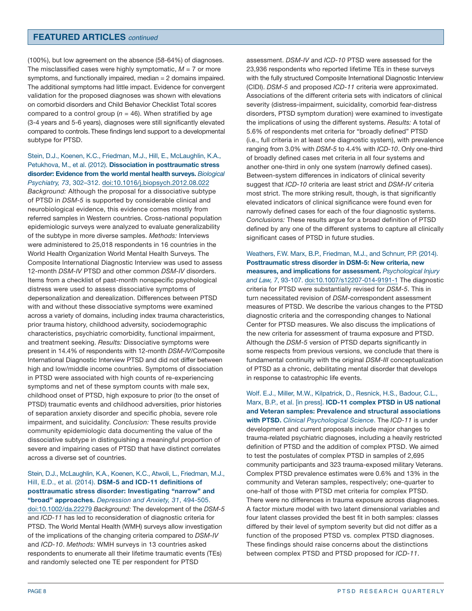(100%), but low agreement on the absence (58-64%) of diagnoses. The misclassified cases were highly symptomatic,  $M = 7$  or more symptoms, and functionally impaired, median = 2 domains impaired. The additional symptoms had little impact. Evidence for convergent validation for the proposed diagnoses was shown with elevations on comorbid disorders and Child Behavior Checklist Total scores compared to a control group  $(n = 46)$ . When stratified by age (3-4 years and 5-6 years), diagnoses were still significantly elevated compared to controls. These findings lend support to a developmental subtype for PTSD.

Stein, D.J., Koenen, K.C., Friedman, M.J., Hill, E., McLaughlin, K.A., Petukhova, M., et al. (2012). **Dissociation in posttraumatic stress disorder: Evidence from the world mental health surveys.** *Biological Psychiatry, 73*, 302–312. [doi:10.1016/j.biopsych.2012.08.022](http://www.sciencedirect.com/science/article/pii/S0006322312007718) *Background:* Although the proposal for a dissociative subtype of PTSD in *DSM-5* is supported by considerable clinical and neurobiological evidence, this evidence comes mostly from referred samples in Western countries. Cross-national population epidemiologic surveys were analyzed to evaluate generalizability of the subtype in more diverse samples. *Methods:* Interviews were administered to 25,018 respondents in 16 countries in the World Health Organization World Mental Health Surveys. The Composite International Diagnostic Interview was used to assess 12-month *DSM-IV* PTSD and other common *DSM-IV* disorders. Items from a checklist of past-month nonspecific psychological distress were used to assess dissociative symptoms of depersonalization and derealization. Differences between PTSD with and without these dissociative symptoms were examined across a variety of domains, including index trauma characteristics, prior trauma history, childhood adversity, sociodemographic characteristics, psychiatric comorbidity, functional impairment, and treatment seeking. *Results:* Dissociative symptoms were present in 14.4% of respondents with 12-month *DSM-IV*/Composite International Diagnostic Interview PTSD and did not differ between high and low/middle income countries. Symptoms of dissociation in PTSD were associated with high counts of re-experiencing symptoms and net of these symptom counts with male sex, childhood onset of PTSD, high exposure to prior (to the onset of PTSD) traumatic events and childhood adversities, prior histories of separation anxiety disorder and specific phobia, severe role impairment, and suicidality. *Conclusion:* These results provide community epidemiologic data documenting the value of the dissociative subtype in distinguishing a meaningful proportion of severe and impairing cases of PTSD that have distinct correlates across a diverse set of countries.

#### Stein, D.J., McLaughlin, K.A., Koenen, K.C., Atwoli, L., Friedman, M.J., Hill, E.D., et al. (2014). **DSM-5 and ICD-11 definitions of posttraumatic stress disorder: Investigating "narrow" and "broad" approaches.** *Depression and Anxiety, 31*, 494-505.

[doi:10.1002/da.22279](http://onlinelibrary.wiley.com/doi/10.1002/da.22279/abstract) *Background:* The development of the *DSM-5* and *ICD-11* has led to reconsideration of diagnostic criteria for PTSD. The World Mental Health (WMH) surveys allow investigation of the implications of the changing criteria compared to *DSM-IV* and *ICD-10*. *Methods:* WMH surveys in 13 countries asked respondents to enumerate all their lifetime traumatic events (TEs) and randomly selected one TE per respondent for PTSD

assessment. *DSM-IV* and *ICD-10* PTSD were assessed for the 23,936 respondents who reported lifetime TEs in these surveys with the fully structured Composite International Diagnostic Interview (CIDI). *DSM-5* and proposed *ICD-11* criteria were approximated. Associations of the different criteria sets with indicators of clinical severity (distress-impairment, suicidality, comorbid fear-distress disorders, PTSD symptom duration) were examined to investigate the implications of using the different systems. *Results:* A total of 5.6% of respondents met criteria for "broadly defined" PTSD (i.e., full criteria in at least one diagnostic system), with prevalence ranging from 3.0% with *DSM-5* to 4.4% with *ICD-10*. Only one-third of broadly defined cases met criteria in all four systems and another one-third in only one system (narrowly defined cases). Between-system differences in indicators of clinical severity suggest that *ICD-10* criteria are least strict and *DSM-IV* criteria most strict. The more striking result, though, is that significantly elevated indicators of clinical significance were found even for narrowly defined cases for each of the four diagnostic systems. *Conclusions:* These results argue for a broad definition of PTSD defined by any one of the different systems to capture all clinically significant cases of PTSD in future studies.

Weathers, F.W. Marx, B.P., Friedman, M.J., and Schnurr, P.P. (2014). **Posttraumatic stress disorder in DSM-5: New criteria, new measures, and implications for assessment.** *Psychological Injury and Law, 7*, 93-107. [doi:10.1007/s12207-014-9191-1](http://link.springer.com/article/10.1007%2Fs12207-014-9191-1) The diagnostic criteria for PTSD were substantially revised for *DSM-5*. This in turn necessitated revision of *DSM*-correspondent assessment measures of PTSD. We describe the various changes to the PTSD diagnostic criteria and the corresponding changes to National Center for PTSD measures. We also discuss the implications of the new criteria for assessment of trauma exposure and PTSD. Although the *DSM-5* version of PTSD departs significantly in some respects from previous versions, we conclude that there is fundamental continuity with the original *DSM-III* conceptualization of PTSD as a chronic, debilitating mental disorder that develops in response to catastrophic life events.

Wolf. E.J., Miller, M.W., Kilpatrick, D., Resnick, H.S., Badour, C.L., Marx, B.P., et al. [in press]. **ICD-11 complex PTSD in US national and Veteran samples: Prevalence and structural associations with PTSD.** *Clinical Psychological Science*. The *ICD-11* is under development and current proposals include major changes to trauma-related psychiatric diagnoses, including a heavily restricted definition of PTSD and the addition of complex PTSD. We aimed to test the postulates of complex PTSD in samples of 2,695 community participants and 323 trauma-exposed military Veterans. Complex PTSD prevalence estimates were 0.6% and 13% in the community and Veteran samples, respectively; one-quarter to one-half of those with PTSD met criteria for complex PTSD. There were no differences in trauma exposure across diagnoses. A factor mixture model with two latent dimensional variables and four latent classes provided the best fit in both samples: classes differed by their level of symptom severity but did not differ as a function of the proposed PTSD vs. complex PTSD diagnoses. These findings should raise concerns about the distinctions between complex PTSD and PTSD proposed for *ICD-11*.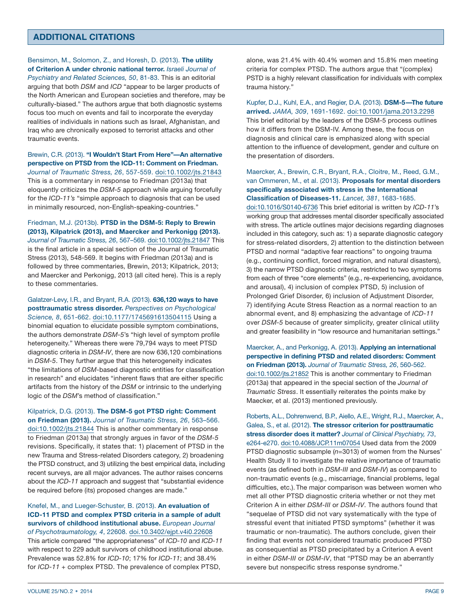# **ADDITIONAL CITATIONS**

Bensimon, M., Solomon, Z., and Horesh, D. (2013). **The utility of Criterion A under chronic national terror.** *Israeli Journal of Psychiatry and Related Sciences, 50*, 81-83. This is an editorial arguing that both *DSM* and *ICD* "appear to be larger products of the North American and European societies and therefore, may be culturally-biased." The authors argue that both diagnostic systems focus too much on events and fail to incorporate the everyday realities of individuals in nations such as Israel, Afghanistan, and Iraq who are chronically exposed to terrorist attacks and other traumatic events.

Brewin, C.R. (2013). **"I Wouldn't Start From Here"—An alternative perspective on PTSD from the ICD-11: Comment on Friedman.** *Journal of Traumatic Stress, 26*, 557-559. [doi:10.1002/jts.21843](http://onlinelibrary.wiley.com/doi/10.1002/jts.21843/abstract) This is a commentary in response to Friedman (2013a) that eloquently criticizes the *DSM-5* approach while arguing forcefully for the *ICD-11's* "simple approach to diagnosis that can be used in minimally resourced, non-English-speaking-countries."

Friedman, M.J. (2013b). **PTSD in the DSM-5: Reply to Brewin (2013), Kilpatrick (2013), and Maercker and Perkonigg (2013).** *Journal of Traumatic Stress, 26*, 567–569. [doi:10.1002/jts.21847](http://onlinelibrary.wiley.com/doi/10.1002/jts.21847/abstract) This is the final article in a special section of the Journal of Traumatic Stress (2013), 548-569. It begins with Friedman (2013a) and is followed by three commentaries, Brewin, 2013; Kilpatrick, 2013; and Maercker and Perkonigg, 2013 (all cited here). This is a reply to these commentaries.

Galatzer-Levy, I.R., and Bryant, R.A. (2013). **636,120 ways to have posttraumatic stress disorder.** *Perspectives on Psychological Science, 8*, 651-662. [doi:10.1177/1745691613504115](http://pps.sagepub.com/content/8/6/651) Using a binomial equation to elucidate possible symptom combinations, the authors demonstrate *DSM-5*'s "high level of symptom profile heterogeneity." Whereas there were 79,794 ways to meet PTSD diagnostic criteria in *DSM-IV*, there are now 636,120 combinations in *DSM-5*. They further argue that this heterogeneity indicates "the limitations of *DSM*-based diagnostic entities for classification in research" and elucidates "inherent flaws that are either specific artifacts from the history of the *DSM* or intrinsic to the underlying logic of the *DSM*'s method of classification."

Kilpatrick, D.G. (2013). **The DSM-5 got PTSD right: Comment on Friedman (2013).** *Journal of Traumatic Stress, 26*, 563–566. [doi:10.1002/jts.21844](http://onlinelibrary.wiley.com/doi/10.1002/jts.21844/abstract) This is another commentary in response to Friedman (2013a) that strongly argues in favor of the *DSM-5* revisions. Specifically, it states that: 1) placement of PTSD in the new Trauma and Stress-related Disorders category, 2) broadening the PTSD construct, and 3) utilizing the best empirical data, including recent surveys, are all major advances. The author raises concerns about the *ICD-11* approach and suggest that "substantial evidence be required before (its) proposed changes are made."

Knefel, M., and Lueger-Schuster, B. (2013). **An evaluation of ICD-11 PTSD and complex PTSD criteria in a sample of adult survivors of childhood institutional abuse.** *European Journal of Psychotraumatology, 4*, 22608. [doi.10.3402/ejpt.v4i0.22608](http://www.ejpt.net/index.php/ejpt/article/view/22608) This article compared "the appropriateness" of *ICD-10* and *ICD-11* with respect to 229 adult survivors of childhood institutional abuse. Prevalence was 52.8% for *ICD-10*; 17% for *ICD-11*; and 38.4% for *ICD-11* + complex PTSD. The prevalence of complex PTSD,

alone, was 21.4% with 40.4% women and 15.8% men meeting criteria for complex PTSD. The authors argue that "(complex) PSTD is a highly relevant classification for individuals with complex trauma history."

Kupfer, D.J., Kuhl, E.A., and Regier, D.A. (2013). **DSM-5—The future arrived.** *JAMA, 309*, 1691-1692. [doi:10.1001/jama.2013.2298](http://jama.jamanetwork.com/article.aspx?articleid=1656312) This brief editorial by the leaders of the DSM-5 process outlines how it differs from the DSM-IV. Among these, the focus on diagnosis and clinical care is emphasized along with special attention to the influence of development, gender and culture on the presentation of disorders.

Maercker, A., Brewin, C.R., Bryant, R.A., Cloitre, M., Reed, G.M., van Ommeren, M., et al. (2013). **Proposals for mental disorders specifically associated with stress in the International Classification of Diseases-11.** *Lancet, 381*, 1683-1685.

[doi:10.1016/S0140-6736](http://www.thelancet.com/journals/lancet/article/PIIS0140-6736(12)62191-6/fulltext) This brief editorial is written by *ICD-11*'s working group that addresses mental disorder specifically associated with stress. The article outlines major decisions regarding diagnoses included in this category, such as: 1) a separate diagnostic category for stress-related disorders, 2) attention to the distinction between PTSD and normal "adaptive fear reactions" to ongoing trauma (e.g., continuing conflict, forced migration, and natural disasters), 3) the narrow PTSD diagnostic criteria, restricted to two symptoms from each of three "core elements" (e.g., re-experiencing, avoidance, and arousal), 4) inclusion of complex PTSD, 5) inclusion of Prolonged Grief Disorder, 6) inclusion of Adjustment Disorder, 7) identifying Acute Stress Reaction as a normal reaction to an abnormal event, and 8) emphasizing the advantage of *ICD-11* over *DSM-5* because of greater simplicity, greater clinical utility and greater feasibility in "low resource and humanitarian settings."

Maercker, A., and Perkonigg, A. (2013). **Applying an international perspective in defining PTSD and related disorders: Comment on Friedman (2013).** *Journal of Traumatic Stress, 26*, 560-562. [doi:10.1002/jts.21852](http://onlinelibrary.wiley.com/doi/10.1002/jts.21852/abstract) This is another commentary to Friedman (2013a) that appeared in the special section of the *Journal of Traumatic Stress*. It essentially reiterates the points make by Maecker, et al. (2013) mentioned previously.

Roberts, A.L., Dohrenwend, B.P., Aiello, A.E., Wright, R.J., Maercker, A., Galea, S., et al. (2012). **The stressor criterion for posttraumatic stress disorder does it matter?** *Journal of Clinical Psychiatry, 73*, e264-e270. [doi:10.4088/JCP.11m07054](http://www.psychiatrist.com/JCP/article/Pages/2012/v73n02/v73n0224.aspx) Used data from the 2009 PTSD diagnostic subsample (*n*=3013) of women from the Nurses' Health Study II to investigate the relative importance of traumatic events (as defined both in *DSM-III* and *DSM-IV*) as compared to non-traumatic events (e.g., miscarriage, financial problems, legal difficulties, etc.). The major comparison was between women who met all other PTSD diagnostic criteria whether or not they met Criterion A in either *DSM-III* or *DSM-IV*. The authors found that "sequelae of PTSD did not vary systematically with the type of stressful event that initiated PTSD symptoms" (whether it was traumatic or non-traumatic). The authors conclude, given their finding that events not considered traumatic produced PTSD as consequential as PTSD precipitated by a Criterion A event in either *DSM-III* or *DSM-IV*, that "PTSD may be an aberrantly severe but nonspecific stress response syndrome."